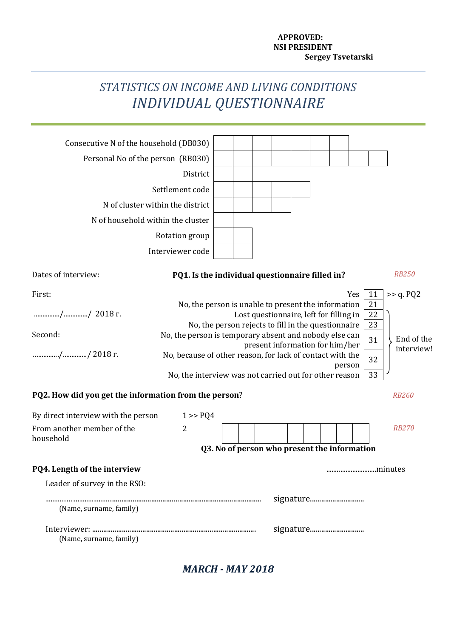#### **APPROVED: NSI PRESIDENT Sergey Tsvetarski**

## *STATISTICS ON INCOME AND LIVING CONDITIONS INDIVIDUAL QUESTIONNAIRE*

| Consecutive N of the household (DB030)                |                                                                                                                                                                      |                                              |  |  |  |                                         |  |  |        |     |                |              |
|-------------------------------------------------------|----------------------------------------------------------------------------------------------------------------------------------------------------------------------|----------------------------------------------|--|--|--|-----------------------------------------|--|--|--------|-----|----------------|--------------|
| Personal No of the person (RB030)                     |                                                                                                                                                                      |                                              |  |  |  |                                         |  |  |        |     |                |              |
|                                                       | District                                                                                                                                                             |                                              |  |  |  |                                         |  |  |        |     |                |              |
|                                                       | Settlement code                                                                                                                                                      |                                              |  |  |  |                                         |  |  |        |     |                |              |
|                                                       | N of cluster within the district                                                                                                                                     |                                              |  |  |  |                                         |  |  |        |     |                |              |
| N of household within the cluster                     |                                                                                                                                                                      |                                              |  |  |  |                                         |  |  |        |     |                |              |
|                                                       | Rotation group                                                                                                                                                       |                                              |  |  |  |                                         |  |  |        |     |                |              |
|                                                       | Interviewer code                                                                                                                                                     |                                              |  |  |  |                                         |  |  |        |     |                |              |
| Dates of interview:                                   | PQ1. Is the individual questionnaire filled in?                                                                                                                      |                                              |  |  |  |                                         |  |  |        |     |                | <b>RB250</b> |
| First:                                                |                                                                                                                                                                      |                                              |  |  |  |                                         |  |  |        | Yes | 11             | >> q. PQ2    |
| // 2018 г.                                            | No, the person is unable to present the information                                                                                                                  |                                              |  |  |  | Lost questionnaire, left for filling in |  |  |        |     | 21<br>22<br>23 |              |
| Second:                                               | No, the person rejects to fill in the questionnaire<br>No, the person is temporary absent and nobody else can<br>End of the<br>31<br>present information for him/her |                                              |  |  |  |                                         |  |  |        |     |                |              |
| // 2018 г.                                            | No, because of other reason, for lack of contact with the<br>No, the interview was not carried out for other reason                                                  |                                              |  |  |  |                                         |  |  | person |     | 32<br>33       | interview!   |
| PQ2. How did you get the information from the person? |                                                                                                                                                                      |                                              |  |  |  |                                         |  |  |        |     |                | <b>RB260</b> |
| By direct interview with the person                   | 1 > PQ4                                                                                                                                                              |                                              |  |  |  |                                         |  |  |        |     |                |              |
| From another member of the<br>household               | $\overline{2}$                                                                                                                                                       |                                              |  |  |  |                                         |  |  |        |     |                | <b>RB270</b> |
|                                                       |                                                                                                                                                                      | Q3. No of person who present the information |  |  |  |                                         |  |  |        |     |                |              |
| <b>PQ4. Length of the interview</b>                   |                                                                                                                                                                      |                                              |  |  |  |                                         |  |  |        |     | minutes        |              |
| Leader of survey in the RSO:                          |                                                                                                                                                                      |                                              |  |  |  |                                         |  |  |        |     |                |              |
| (Name, surname, family)                               |                                                                                                                                                                      |                                              |  |  |  |                                         |  |  |        |     |                |              |
| (Name, surname, family)                               |                                                                                                                                                                      |                                              |  |  |  | signature                               |  |  |        |     |                |              |
|                                                       |                                                                                                                                                                      |                                              |  |  |  |                                         |  |  |        |     |                |              |

*MARCH - MAY 2018*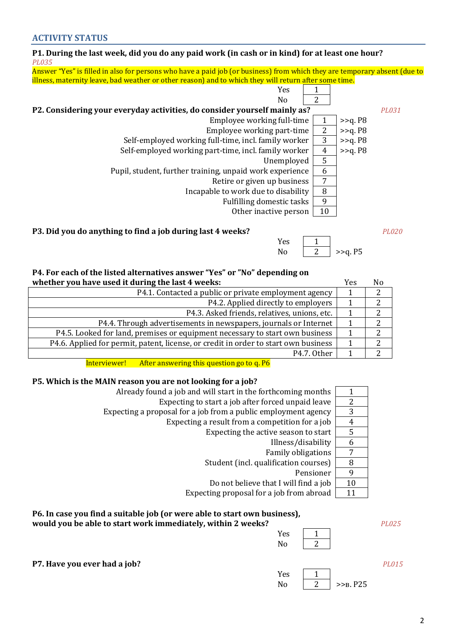#### **ACTIVITY STATUS**

#### **P1. During the last week, did you do any paid work (in cash or in kind) for at least one hour?**  *PL035*

Answer "Yes" is filled in also for persons who have a paid job (or business) from which they are temporary absent (due to illness, maternity leave, bad weather or other reason) and to which they will return after some time.

| Yes                                                                       |    |            |       |
|---------------------------------------------------------------------------|----|------------|-------|
| N <sub>0</sub>                                                            | っ  |            |       |
| P2. Considering your everyday activities, do consider yourself mainly as? |    |            | PL031 |
| Employee working full-time                                                |    | $>>q$ . P8 |       |
| Employee working part-time                                                | 2  | $>>q$ . P8 |       |
| Self-employed working full-time, incl. family worker                      | 3  | >>q. P8    |       |
| Self-employed working part-time, incl. family worker                      | 4  | $>>q$ . P8 |       |
| Unemployed                                                                | 5  |            |       |
| Pupil, student, further training, unpaid work experience                  | 6  |            |       |
| Retire or given up business                                               | 7  |            |       |
| Incapable to work due to disability                                       | 8  |            |       |
| Fulfilling domestic tasks                                                 | 9  |            |       |
| Other inactive person                                                     | 10 |            |       |

#### **P3. Did you do anything to find a job during last 4 weeks?** *PL020*

## No  $\boxed{2}$  >>q. P5 **P4. For each of the listed alternatives answer "Yes" or "No" depending on**

| T THE CALIFY THE HOLER MILLIMENTS MISHEL TEST OF THE MEDERING ON                    |     |                |
|-------------------------------------------------------------------------------------|-----|----------------|
| whether you have used it during the last 4 weeks:                                   | Yes | N <sub>0</sub> |
| P4.1. Contacted a public or private employment agency                               |     |                |
| P4.2. Applied directly to employers                                                 |     |                |
| P4.3. Asked friends, relatives, unions, etc.                                        |     | $\mathcal{D}$  |
| P4.4. Through advertisements in newspapers, journals or Internet                    |     |                |
| P4.5. Looked for land, premises or equipment necessary to start own business        |     | 2              |
| P4.6. Applied for permit, patent, license, or credit in order to start own business |     |                |
| P4.7. Other                                                                         |     |                |
|                                                                                     |     |                |

Interviewer! After answering this question go to q. P6

#### **P5. Which is the MAIN reason you are not looking for a job?**

| Already found a job and will start in the forthcoming months   |    |
|----------------------------------------------------------------|----|
| Expecting to start a job after forced unpaid leave             | 2  |
| Expecting a proposal for a job from a public employment agency | 3  |
| Expecting a result from a competition for a job                | 4  |
| Expecting the active season to start                           | 5  |
| Illness/disability                                             | 6  |
| <b>Family obligations</b>                                      |    |
| Student (incl. qualification courses)                          | 8  |
| Pensioner                                                      | 9  |
| Do not believe that I will find a job                          | 10 |
| Expecting proposal for a job from abroad                       |    |

## **P6. In case you find a suitable job (or were able to start own business),**

#### **would you be able to start work immediately, within 2 weeks?** *PL025*

| Yes |  |
|-----|--|
| No  |  |
|     |  |

Yes

**P7. Have you ever had a job?** *PL015*

| Yes |             |
|-----|-------------|
| No  | $>>B$ , P25 |

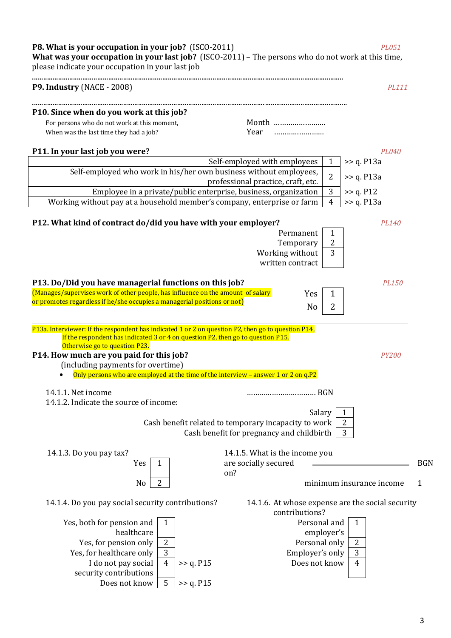**P8. What is your occupation in your job?** (ISCO-2011) *PL051* **What was your occupation in your last job?** (ISCO-2011) – The persons who do not work at this time, please indicate your occupation in your last job ....................................................................................................................................................................... **P9. Industry** (NACE - 2008) *PL111* ......................................................................................................................................................................... **Р10. Since when do you work at this job?** For persons who do not work at this moment, Month ……………………………………………………………………………… When was the last time they had a job? Year …………………… **P11. In your last job you were?** *PL040* Self-employed with employees  $|1|$  >> q. P13a Self-employed who work in his/her own business without employees, professional practice, craft, etc.  $\begin{vmatrix} 2 \\ \end{vmatrix} \rightarrow$  q. P13a Employee in a private/public enterprise, business, organization  $\begin{vmatrix} 3 \\ \end{vmatrix} \rightarrow$  q. P12 Working without pay at a household member's company, enterprise or farm  $\begin{pmatrix} 4 \\ 2 \end{pmatrix} > 9$ . P13a **P12. What kind of contract do/did you have with your employer?** *PL140* Permanent | 1 Temporary | 2 Working without written contract 3 **P13. Do/Did you have managerial functions on this job?** *PL150* (Manages/supervises work of other people, has influence on the amount of salary or promotes regardless if he/she occupies a managerial positions or not) Yes 1  $No$  2  $\overline{a}$ Р13а. Interviewer: If the respondent has indicated 1 or 2 on question P2, then go to question P14, If the respondent has indicated 3 or 4 on question P2, then go to question P15, Otherwise go to question Р23. **Р14. How much are you paid for this job?** *PY200* (including payments for overtime)  $\bullet$  Only persons who are employed at the time of the interview – answer 1 or 2 on q.P2 14.1.1. Net income …………………………… BGN 14.1.2. Indicate the source of income: Salary Cash benefit related to temporary incapacity to work  $\vert$  2 Cash benefit for pregnancy and childbirth  $\vert$  3 14.1.3. Do you pay tax? 14.1.5. What is the income you  $Yes \mid 1 \mid$  are socially secured on? BGN No 2 minimum insurance income 1 14.1.4. Do you pay social security contributions? 14.1.6. At whose expense are the social security contributions? Yes, both for pension and healthcare 1 Personal and employer's 1 Yes, for pension only 2 Personal only 2 Yes, for healthcare only  $\begin{array}{c|c} 3 & \text{Emplover's only} \end{array}$ I do not pay social security contributions  $4 \mid \gg q$ . P15 Does not know  $4 \mid 4$ 

Does not know  $\vert 5 \vert >>$  q. P15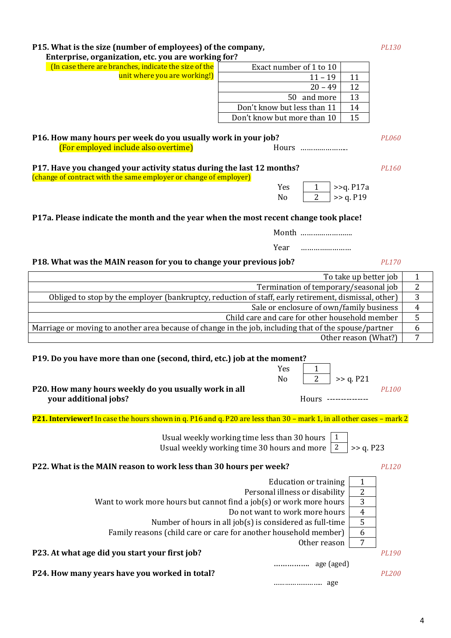## **Р15. What is the size (number of employees) of the company,** *PL130*

## **Enterprise, organization, etc. you are working for?**

| (In case there are branches, indicate the size of the | Exact number of 1 to 10     |    |
|-------------------------------------------------------|-----------------------------|----|
| unit where you are working!)                          | $11 - 19$                   |    |
|                                                       | $20 - 49$                   |    |
|                                                       | 50 and more                 |    |
|                                                       | Don't know but less than 11 | 14 |
|                                                       | Don't know but more than 10 | 15 |
|                                                       |                             |    |

#### **Р16. How many hours per week do you usually work in your job?** *PL060* (For employed include also overtime) Hours …………………..

**P17. Have you changed your activity status during the last 12 months?** *PL160* (change of contract with the same employer or change of employer)

## **P17a. Please indicate the month and the year when the most recent change took place!**

Month …………………….

Year ……………………

## **P18. What was the MAIN reason for you to change your previous job?** *PL170*

| To take up better job                                                                                 |   |
|-------------------------------------------------------------------------------------------------------|---|
| Termination of temporary/seasonal job                                                                 | 2 |
| Obliged to stop by the employer (bankruptcy, reduction of staff, early retirement, dismissal, other)  |   |
| Sale or enclosure of own/family business                                                              |   |
| Child care and care for other household member                                                        |   |
| Marriage or moving to another area because of change in the job, including that of the spouse/partner |   |
| Other reason (What?)                                                                                  |   |

## **P19. Do you have more than one (second, third, etc.) job at the moment?**

| Yes            |              |                                   |
|----------------|--------------|-----------------------------------|
| N <sub>0</sub> |              |                                   |
|                |              | PL100                             |
|                |              |                                   |
|                | <b>Hours</b> | 2   $>q$ . P21<br>--------------- |

## **P21. Interviewer!** In case the hours shown in q. P16 and q. P20 are less than 30 – mark 1, in all other cases – mark 2

| Usual weekly working time less than 30 hours<br>2<br>Usual weekly working time 30 hours and more | >> q. P23 |              |
|--------------------------------------------------------------------------------------------------|-----------|--------------|
| P22. What is the MAIN reason to work less than 30 hours per week?                                |           | PL120        |
| <b>Education or training</b>                                                                     | 1         |              |
| Personal illness or disability                                                                   | 2         |              |
| Want to work more hours but cannot find a job(s) or work more hours                              | 3         |              |
| Do not want to work more hours                                                                   | 4         |              |
| Number of hours in all $job(s)$ is considered as full-time                                       | 5         |              |
| Family reasons (child care or care for another household member)                                 | 6         |              |
| Other reason                                                                                     |           |              |
| P23. At what age did you start your first job?                                                   |           | PL190        |
| age (aged)<br>.                                                                                  |           |              |
| P24. How many years have you worked in total?                                                    |           | <b>PL200</b> |
|                                                                                                  |           |              |

| Yes | $>>q$ . P17a |
|-----|--------------|
| N٥  | >> a. P19    |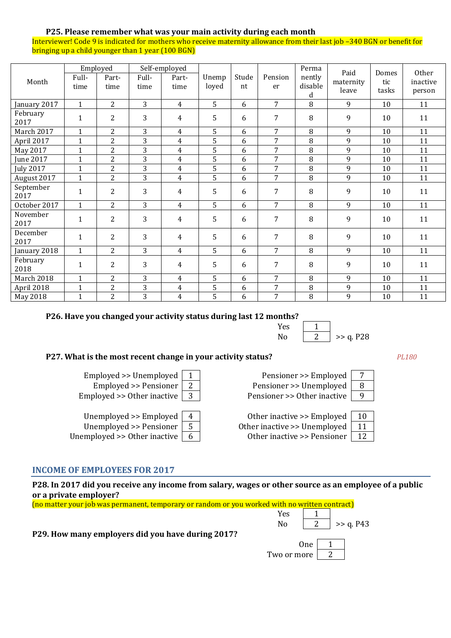#### **P25. Please remember what was your main activity during each month**

Interviewer! Code 9 is indicated for mothers who receive maternity allowance from their last job –340 BGN or benefit for bringing up a child younger than 1 year (100 BGN)

| Month             | Full-<br>time | Employed<br>Part-<br>time | Full-<br>time  | Self-employed<br>Part-<br>time | Unemp<br>loyed | Stude<br>nt | Pension<br>er  | Perma<br>nently<br>disable<br>d | Paid<br>maternity<br>leave | Domes<br>tic<br>tasks | Other<br>inactive<br>person |
|-------------------|---------------|---------------------------|----------------|--------------------------------|----------------|-------------|----------------|---------------------------------|----------------------------|-----------------------|-----------------------------|
| January 2017      | $\mathbf{1}$  | 2                         | 3              | $\overline{4}$                 | 5              | 6           | $\overline{7}$ | 8                               | 9                          | 10                    | 11                          |
| February<br>2017  | $\mathbf{1}$  | $\overline{2}$            | 3              | $\overline{4}$                 | 5              | 6           | 7              | 8                               | 9                          | 10                    | 11                          |
| March 2017        | $\mathbf{1}$  | $\overline{2}$            | 3              | $\overline{4}$                 | 5              | 6           | 7              | 8                               | 9                          | 10                    | 11                          |
| April 2017        | $\mathbf{1}$  | $\overline{2}$            | 3              | $\overline{4}$                 | 5              | 6           | 7              | 8                               | 9                          | 10                    | 11                          |
| May 2017          | $\mathbf{1}$  | $\overline{2}$            | 3              | $\overline{4}$                 | 5              | 6           | 7              | 8                               | 9                          | 10                    | 11                          |
| June 2017         | $\mathbf{1}$  | $\overline{2}$            | 3              | $\overline{4}$                 | 5              | 6           | $\overline{7}$ | 8                               | 9                          | 10                    | 11                          |
| <b>July 2017</b>  | $\mathbf{1}$  | $\overline{2}$            | 3              | 4                              | 5              | 6           | 7              | 8                               | 9                          | 10                    | 11                          |
| August 2017       | $\mathbf{1}$  | $\overline{2}$            | $\overline{3}$ | $\overline{4}$                 | 5              | 6           | $\overline{7}$ | 8                               | 9                          | 10                    | 11                          |
| September<br>2017 | 1             | $\overline{2}$            | 3              | 4                              | 5              | 6           | 7              | 8                               | 9                          | 10                    | 11                          |
| October 2017      | $\mathbf{1}$  | 2                         | 3              | $\overline{4}$                 | 5              | 6           | $\overline{7}$ | 8                               | 9                          | 10                    | 11                          |
| November<br>2017  | 1             | $\overline{2}$            | 3              | 4                              | 5              | 6           | 7              | 8                               | 9                          | 10                    | 11                          |
| December<br>2017  | $\mathbf{1}$  | $\overline{2}$            | 3              | 4                              | 5              | 6           | 7              | 8                               | 9                          | 10                    | 11                          |
| January 2018      | $\mathbf{1}$  | $\overline{2}$            | 3              | $\overline{4}$                 | 5              | 6           | $\overline{7}$ | 8                               | 9                          | 10                    | 11                          |
| February<br>2018  | $\mathbf{1}$  | $\overline{2}$            | 3              | 4                              | 5              | 6           | 7              | 8                               | 9                          | 10                    | 11                          |
| March 2018        | $\mathbf{1}$  | $\overline{2}$            | 3              | $\overline{4}$                 | 5              | 6           | 7              | 8                               | 9                          | 10                    | 11                          |
| April 2018        | $\mathbf{1}$  | $\overline{2}$            | 3              | $\overline{4}$                 | 5              | 6           | 7              | 8                               | 9                          | 10                    | 11                          |
| May 2018          | $\mathbf{1}$  | $\overline{2}$            | 3              | 4                              | 5              | 6           | 7              | 8                               | 9                          | 10                    | 11                          |

#### **P26. Have you changed your activity status during last 12 months?**

| .   |           |
|-----|-----------|
| Yes |           |
| N٥  | >> q. P28 |

#### **P27. What is the most recent change in your activity status?** *PL180*

Employed >> Unemployed | 1 | Pensioner >> Employed | 7 Employed >> Pensioner  $\begin{array}{|c|c|c|c|c|}\n\hline\n2&\text{Pensioner} > \text{Unemployed} & \hline\n8&\text{Pensioner} & \hline\n\end{array}$ 

| Unemployed >> Employed                    |  |
|-------------------------------------------|--|
| Unemployed $\geq$ Pensioner   5           |  |
| employed $\gt$ Other inactive $\parallel$ |  |

Unemployed >> Other inactive  $\boxed{6}$  Other inactive >> Pensi

# Employed >> Other inactive  $\boxed{3}$  Pensioner >> Other inactive  $\boxed{9}$

Other inactive  $\geq$  Employent Other inactive >> Unempl

| loyed | 10  |  |
|-------|-----|--|
| loyed | -11 |  |
| ioner | -12 |  |

#### **INCOME OF EMPLOYEES FOR 2017**

**P28. In 2017 did you receive any income from salary, wages or other source as an employee of a public or a private employer?**

| (no matter your job was permanent, temporary or random or you worked with no written contract) |                |     |             |
|------------------------------------------------------------------------------------------------|----------------|-----|-------------|
|                                                                                                | Yes            |     |             |
|                                                                                                | N <sub>0</sub> |     | $>>$ q. P43 |
| P29. How many employers did you have during 2017?                                              |                |     |             |
|                                                                                                |                | 0ne |             |
|                                                                                                | Two or more    |     |             |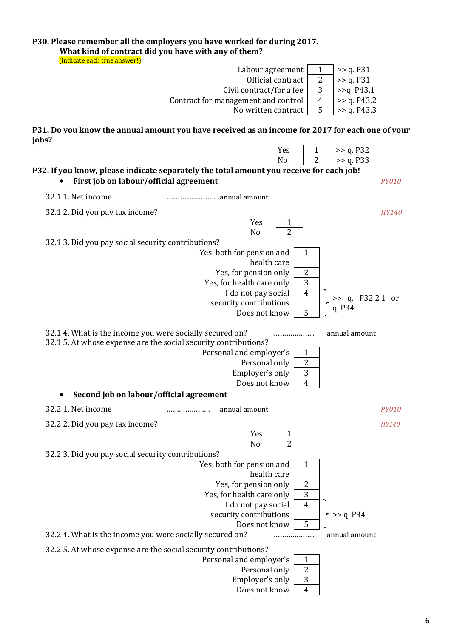| What kind of contract did you have with any of them?<br>(indicate each true answer!)                                        | P30. Please remember all the employers you have worked for during 2017.                         |              |
|-----------------------------------------------------------------------------------------------------------------------------|-------------------------------------------------------------------------------------------------|--------------|
|                                                                                                                             | >> q. P31<br>Labour agreement<br>$\mathbf{1}$                                                   |              |
|                                                                                                                             | $\overline{2}$<br>Official contract<br>>> q. P31                                                |              |
|                                                                                                                             | 3<br>>>q. P43.1<br>Civil contract/for a fee                                                     |              |
|                                                                                                                             | $\overline{4}$<br>>> q. P43.2<br>Contract for management and control                            |              |
|                                                                                                                             | No written contract<br>5<br>>> q. P43.3                                                         |              |
| jobs?                                                                                                                       | P31. Do you know the annual amount you have received as an income for 2017 for each one of your |              |
|                                                                                                                             | Yes<br>>> q. P32<br>1                                                                           |              |
|                                                                                                                             | $\overline{2}$<br>N <sub>o</sub><br>>> q. P33                                                   |              |
| First job on labour/official agreement                                                                                      | P32. If you know, please indicate separately the total amount you receive for each job!         | <b>PY010</b> |
| 32.1.1. Net income                                                                                                          |                                                                                                 |              |
| 32.1.2. Did you pay tax income?                                                                                             |                                                                                                 | <b>HY140</b> |
|                                                                                                                             | Yes<br>1                                                                                        |              |
|                                                                                                                             | $\overline{2}$<br>N <sub>o</sub>                                                                |              |
| 32.1.3. Did you pay social security contributions?                                                                          |                                                                                                 |              |
|                                                                                                                             | Yes, both for pension and<br>1<br>health care                                                   |              |
|                                                                                                                             | Yes, for pension only<br>$\overline{2}$                                                         |              |
|                                                                                                                             | Yes, for health care only<br>$\mathbf{3}$                                                       |              |
|                                                                                                                             | I do not pay social<br>$\overline{4}$<br>$\gg$ q. P32.2.1 or                                    |              |
|                                                                                                                             | security contributions<br>q. P34                                                                |              |
|                                                                                                                             | 5<br>Does not know                                                                              |              |
| 32.1.4. What is the income you were socially secured on?<br>32.1.5. At whose expense are the social security contributions? | annual amount<br>.                                                                              |              |
|                                                                                                                             | Personal and employer's<br>$\mathbf{1}$                                                         |              |
|                                                                                                                             | Personal only<br>$\boldsymbol{2}$                                                               |              |
|                                                                                                                             | $\mathbf{3}$<br>Employer's only                                                                 |              |
| Second job on labour/official agreement                                                                                     | Does not know<br>4                                                                              |              |
|                                                                                                                             |                                                                                                 |              |
| 32.2.1. Net income                                                                                                          | annual amount<br>.                                                                              | <b>PY010</b> |
| 32.2.2. Did you pay tax income?                                                                                             |                                                                                                 | HY140        |
|                                                                                                                             | Yes<br>1                                                                                        |              |
| 32.2.3. Did you pay social security contributions?                                                                          | $\overline{2}$<br>No                                                                            |              |
|                                                                                                                             | Yes, both for pension and<br>1                                                                  |              |
|                                                                                                                             | health care                                                                                     |              |
|                                                                                                                             | $\boldsymbol{2}$<br>Yes, for pension only                                                       |              |
|                                                                                                                             | 3<br>Yes, for health care only                                                                  |              |
|                                                                                                                             | I do not pay social<br>$\overline{4}$                                                           |              |
|                                                                                                                             | security contributions<br>>> q. P34<br>5<br>Does not know                                       |              |
| 32.2.4. What is the income you were socially secured on?                                                                    | annual amount<br>.                                                                              |              |
| 32.2.5. At whose expense are the social security contributions?                                                             |                                                                                                 |              |
|                                                                                                                             | Personal and employer's<br>1                                                                    |              |
|                                                                                                                             | Personal only<br>2                                                                              |              |
|                                                                                                                             | 3<br>Employer's only                                                                            |              |
|                                                                                                                             | Does not know<br>$\overline{4}$                                                                 |              |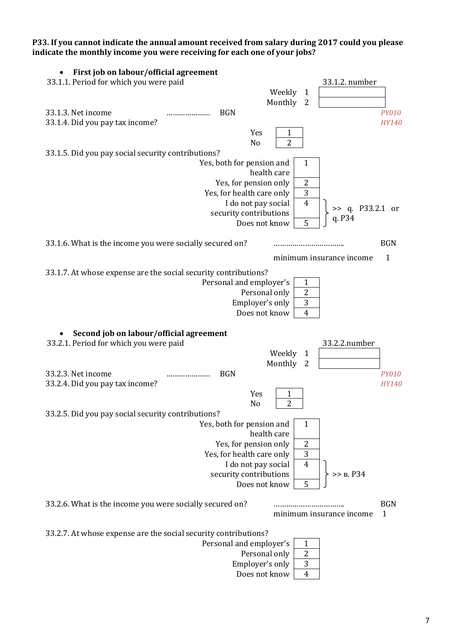**P33. If you cannot indicate the annual amount received from salary during 2017 could you please indicate the monthly income you were receiving for each one of your jobs?**

| First job on labour/official agreement                                               |                              |
|--------------------------------------------------------------------------------------|------------------------------|
| 33.1.1. Period for which you were paid<br>33.1.2. number                             |                              |
| Weekly<br>1                                                                          |                              |
| Monthly 2                                                                            |                              |
| 33.1.3. Net income<br><b>BGN</b>                                                     | <i>PY010</i>                 |
| 33.1.4. Did you pay tax income?                                                      | HY140                        |
| Yes<br>1                                                                             |                              |
| 2<br>No                                                                              |                              |
| 33.1.5. Did you pay social security contributions?                                   |                              |
| Yes, both for pension and<br>$\mathbf{1}$                                            |                              |
| health care                                                                          |                              |
| Yes, for pension only<br>2<br>3                                                      |                              |
| Yes, for health care only<br>$\overline{4}$<br>I do not pay social                   |                              |
| security contributions                                                               | >> q. P33.2.1 or             |
| q. P34<br>5<br>Does not know                                                         |                              |
|                                                                                      |                              |
| 33.1.6. What is the income you were socially secured on?                             | <b>BGN</b>                   |
| minimum insurance income                                                             | $\mathbf{1}$                 |
| 33.1.7. At whose expense are the social security contributions?                      |                              |
| Personal and employer's<br>1                                                         |                              |
| 2<br>Personal only                                                                   |                              |
| 3<br>Employer's only                                                                 |                              |
| Does not know<br>$\overline{4}$                                                      |                              |
|                                                                                      |                              |
|                                                                                      |                              |
| Second job on labour/official agreement                                              |                              |
| 33.2.1. Period for which you were paid<br>33.2.2.number                              |                              |
| Weekly<br>$\mathbf{1}$                                                               |                              |
| Monthly<br>$\overline{2}$                                                            |                              |
| 33.2.3. Net income<br><b>BGN</b>                                                     | <b>PY010</b><br><b>HY140</b> |
| 33.2.4. Did you pay tax income?<br>Yes<br>1                                          |                              |
| $\overline{c}$<br>No                                                                 |                              |
| 33.2.5. Did you pay social security contributions?                                   |                              |
| Yes, both for pension and<br>$\mathbf{1}$                                            |                              |
| health care                                                                          |                              |
| $\overline{2}$<br>Yes, for pension only                                              |                              |
| $\mathbf{3}$<br>Yes, for health care only                                            |                              |
| I do not pay social<br>$\overline{4}$                                                |                              |
| security contributions<br>>> B. P34                                                  |                              |
| 5<br>Does not know                                                                   |                              |
|                                                                                      | <b>BGN</b>                   |
| 33.2.6. What is the income you were socially secured on?<br>minimum insurance income | $\mathbf{1}$                 |
|                                                                                      |                              |
| 33.2.7. At whose expense are the social security contributions?                      |                              |
| Personal and employer's<br>$\mathbf{1}$                                              |                              |
| $\overline{2}$<br>Personal only<br>Employer's only<br>$\mathbf{3}$                   |                              |

Does not know | 4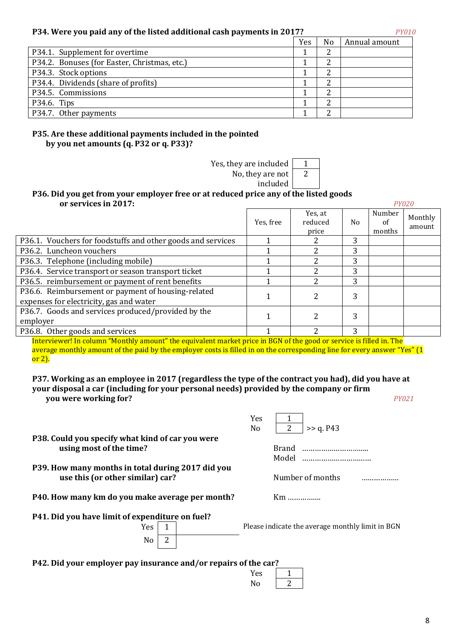#### **P34. Were you paid any of the listed additional cash payments in 2017?** *PY010*

|                                              | Yes | No | Annual amount |
|----------------------------------------------|-----|----|---------------|
| P34.1. Supplement for overtime               |     |    |               |
| P34.2. Bonuses (for Easter, Christmas, etc.) |     |    |               |
| P34.3. Stock options                         |     |    |               |
| P34.4. Dividends (share of profits)          |     |    |               |
| P34.5. Commissions                           |     |    |               |
| P34.6. Tips                                  |     |    |               |
| P34.7. Other payments                        |     |    |               |

#### **P35. Are these additional payments included in the pointed by you net amounts (q. Р32 or q. Р33)?**

Yes, they are included  $\begin{vmatrix} 1 \\ 1 \end{vmatrix}$ No, they are not 2

included

#### **Р36. Did you get from your employer free or at reduced price any of the listed goods or services in 2017:** *PY020*

|                                                                                               | Yes, free | Yes, at<br>reduced<br>price | No. | Number<br>of<br>months | Monthly<br>amount |
|-----------------------------------------------------------------------------------------------|-----------|-----------------------------|-----|------------------------|-------------------|
| P36.1. Vouchers for foodstuffs and other goods and services                                   |           |                             | 3   |                        |                   |
| P36.2. Luncheon vouchers                                                                      |           |                             | 3   |                        |                   |
| P36.3. Telephone (including mobile)                                                           |           |                             | 3   |                        |                   |
| P36.4. Service transport or season transport ticket                                           |           |                             | 3   |                        |                   |
| P36.5. reimbursement or payment of rent benefits                                              |           |                             | 3   |                        |                   |
| P36.6. Reimbursement or payment of housing-related<br>expenses for electricity, gas and water |           |                             | 3   |                        |                   |
| P36.7. Goods and services produced/provided by the<br>employer                                |           |                             | 3   |                        |                   |
| P36.8. Other goods and services                                                               |           | າ                           | 3   |                        |                   |

Interviewer! In column "Monthly amount" the equivalent market price in BGN of the good or service is filled in. The average monthly amount of the paid by the employer costs is filled in on the corresponding line for every answer "Yes" (1 or 2).

**P37. Working as an employee in 2017 (regardless the type of the contract you had), did you have at your disposal a car (including for your personal needs) provided by the company or firm you were working for?** *PY021*

|                                                   | Yes            |                |              |                                                                                  |
|---------------------------------------------------|----------------|----------------|--------------|----------------------------------------------------------------------------------|
|                                                   | N <sub>0</sub> | $\overline{2}$ | >> q. P43    |                                                                                  |
| P38. Could you specify what kind of car you were  |                |                |              |                                                                                  |
|                                                   |                |                |              |                                                                                  |
|                                                   |                | Model          |              |                                                                                  |
| P39. How many months in total during 2017 did you |                |                |              |                                                                                  |
| P40. How many km do you make average per month?   |                |                |              |                                                                                  |
| P41. Did you have limit of expenditure on fuel?   |                |                |              |                                                                                  |
|                                                   |                |                |              |                                                                                  |
|                                                   |                |                |              |                                                                                  |
|                                                   |                |                |              |                                                                                  |
|                                                   |                |                | <b>Brand</b> | <br>Number of months<br>$Km$<br>Please indicate the average monthly limit in BGN |

**Р42. Did your employer pay insurance and/or repairs of the car?** 

| uie car? |  |
|----------|--|
| Yes      |  |
| No       |  |
|          |  |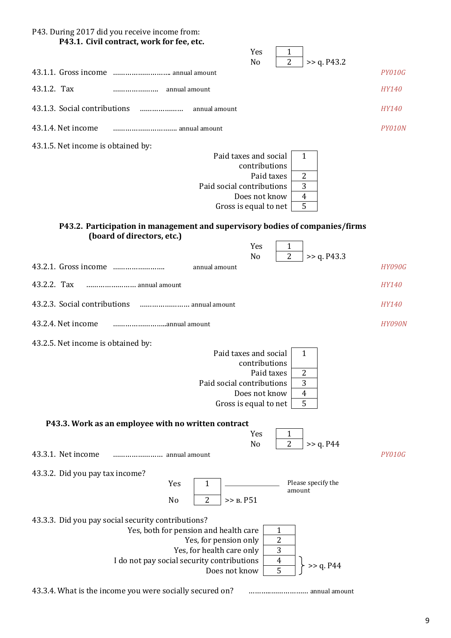| P43. During 2017 did you receive income from:<br>P43.1. Civil contract, work for fee, etc.<br>Yes                                                                                                                                                                                |               |
|----------------------------------------------------------------------------------------------------------------------------------------------------------------------------------------------------------------------------------------------------------------------------------|---------------|
| 1<br>$\overline{2}$<br>>> q. P43.2<br>N <sub>o</sub>                                                                                                                                                                                                                             |               |
|                                                                                                                                                                                                                                                                                  | <b>PY010G</b> |
| 43.1.2. Tax                                                                                                                                                                                                                                                                      | HY140         |
| 43.1.3. Social contributions<br>annual amount                                                                                                                                                                                                                                    | HY140         |
| 43.1.4. Net income                                                                                                                                                                                                                                                               | PY010N        |
| 43.1.5. Net income is obtained by:<br>Paid taxes and social<br>$\mathbf{1}$<br>contributions<br>$\overline{2}$<br>Paid taxes<br>3<br>Paid social contributions<br>Does not know<br>$\overline{4}$<br>5<br>Gross is equal to net                                                  |               |
| P43.2. Participation in management and supervisory bodies of companies/firms<br>(board of directors, etc.)<br>Yes<br>1                                                                                                                                                           |               |
| $\overline{2}$<br>>> q. P43.3<br>N <sub>o</sub><br>annual amount                                                                                                                                                                                                                 | <b>HY090G</b> |
| 43.2.2. Tax<br>annual amount                                                                                                                                                                                                                                                     | <b>HY140</b>  |
| 43.2.3. Social contributions<br>annual amount                                                                                                                                                                                                                                    | HY140         |
| 43.2.4. Net income                                                                                                                                                                                                                                                               | <b>HY090N</b> |
| 43.2.5. Net income is obtained by:<br>Paid taxes and social<br>$\mathbf{1}$<br>contributions<br>2<br>Paid taxes<br>3<br>Paid social contributions<br>Does not know<br>4<br>5<br>Gross is equal to net                                                                            |               |
| P43.3. Work as an employee with no written contract<br>Yes<br>1<br>$\overline{2}$<br>>> q. P44<br>No                                                                                                                                                                             |               |
| 43.3.1. Net income<br>annual amount                                                                                                                                                                                                                                              | <b>PY010G</b> |
| 43.3.2. Did you pay tax income?<br>Please specify the<br>Yes<br>$\mathbf{1}$<br>amount<br>>> B. P51<br>2<br>No                                                                                                                                                                   |               |
| 43.3.3. Did you pay social security contributions?<br>Yes, both for pension and health care<br>1<br>$\overline{c}$<br>Yes, for pension only<br>3<br>Yes, for health care only<br>I do not pay social security contributions<br>$\overline{4}$<br>>> q. P44<br>5<br>Does not know |               |

43.3.4. What is the income you were socially secured on? ………..……………… annual amount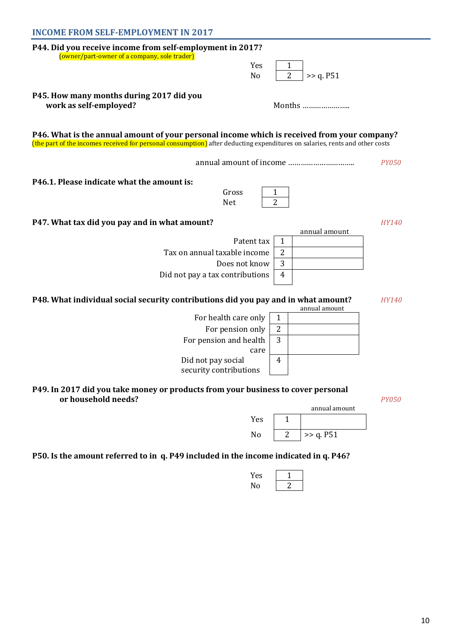| <b>INCOME FROM SELF-EMPLOYMENT IN 2017</b>                                                                                  |                                |               |              |
|-----------------------------------------------------------------------------------------------------------------------------|--------------------------------|---------------|--------------|
| P44. Did you receive income from self-employment in 2017?                                                                   |                                |               |              |
| (owner/part-owner of a company, sole trader)<br>Yes                                                                         |                                |               |              |
| N <sub>o</sub>                                                                                                              | $\overline{2}$                 | >> q. P51     |              |
| P45. How many months during 2017 did you                                                                                    |                                |               |              |
| work as self-employed?                                                                                                      |                                | Months        |              |
|                                                                                                                             |                                |               |              |
| P46. What is the annual amount of your personal income which is received from your company?                                 |                                |               |              |
| (the part of the incomes received for personal consumption) after deducting expenditures on salaries, rents and other costs |                                |               |              |
|                                                                                                                             |                                |               | <i>PY050</i> |
| P46.1. Please indicate what the amount is:                                                                                  |                                |               |              |
| Gross                                                                                                                       | 1                              |               |              |
| Net                                                                                                                         | $\overline{2}$                 |               |              |
| P47. What tax did you pay and in what amount?                                                                               |                                |               | <b>HY140</b> |
|                                                                                                                             |                                | annual amount |              |
| Patent tax<br>Tax on annual taxable income                                                                                  | $\mathbf{1}$<br>$\overline{2}$ |               |              |
| Does not know                                                                                                               | 3                              |               |              |
| Did not pay a tax contributions                                                                                             | 4                              |               |              |
|                                                                                                                             |                                |               |              |
| P48. What individual social security contributions did you pay and in what amount?                                          |                                | annual amount | HY140        |
| For health care only                                                                                                        | $\mathbf{1}$                   |               |              |
| For pension only                                                                                                            | 2                              |               |              |
| For pension and health                                                                                                      | 3                              |               |              |
| care<br>Did not pay social                                                                                                  | 4                              |               |              |
| security contributions                                                                                                      |                                |               |              |
|                                                                                                                             |                                |               |              |
| P49. In 2017 did you take money or products from your business to cover personal<br>or household needs?                     |                                |               | <b>PY050</b> |
|                                                                                                                             |                                | annual amount |              |
| Yes                                                                                                                         | 1                              |               |              |

## **Р50. Is the amount referred to in q. Р49 included in the income indicated in q. Р46?**

| Yes |  |
|-----|--|
| NΩ  |  |

No  $2$  >> q. P51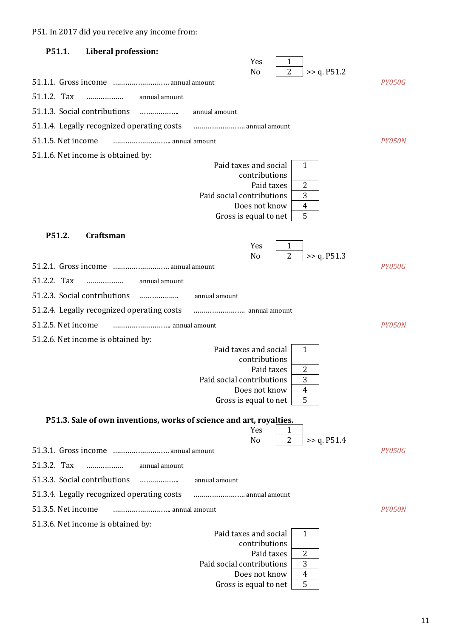Р51. In 2017 did you receive any income from:

| P51.1.                       | Liberal profession:                                                 |                                            |                               |               |
|------------------------------|---------------------------------------------------------------------|--------------------------------------------|-------------------------------|---------------|
|                              |                                                                     | Yes                                        | 1                             |               |
|                              | 51.1.1. Gross income  annual amount                                 | N <sub>o</sub>                             | $\overline{2}$<br>>> q. P51.2 | PY050G        |
| 51.1.2. Tax                  | annual amount<br>.                                                  |                                            |                               |               |
| 51.1.3. Social contributions | .                                                                   | annual amount                              |                               |               |
|                              | 51.1.4. Legally recognized operating costs                          |                                            |                               |               |
| 51.1.5. Net income           |                                                                     |                                            |                               | PY050N        |
|                              |                                                                     |                                            |                               |               |
|                              | 51.1.6. Net income is obtained by:                                  | Paid taxes and social                      | 1                             |               |
|                              |                                                                     | contributions                              |                               |               |
|                              |                                                                     | Paid taxes<br>Paid social contributions    | $\overline{2}$<br>3           |               |
|                              |                                                                     | Does not know                              | $\overline{4}$                |               |
|                              |                                                                     | Gross is equal to net                      | 5                             |               |
| P51.2.                       | Craftsman                                                           |                                            |                               |               |
|                              |                                                                     | Yes                                        | 1                             |               |
|                              | 51.2.1. Gross income  annual amount                                 | N <sub>o</sub>                             | $\overline{2}$<br>>> q. P51.3 | <i>PY050G</i> |
| 51.2.2. Tax                  |                                                                     |                                            |                               |               |
| 51.2.3. Social contributions | annual amount<br>.                                                  |                                            |                               |               |
|                              | .                                                                   | annual amount                              |                               |               |
|                              | 51.2.4. Legally recognized operating costs                          |                                            |                               |               |
| 51.2.5. Net income           | annual amount                                                       |                                            |                               | PY050N        |
|                              | 51.2.6. Net income is obtained by:                                  | Paid taxes and social                      | $\mathbf{1}$                  |               |
|                              |                                                                     | contributions                              |                               |               |
|                              |                                                                     | Paid taxes                                 | 2                             |               |
|                              |                                                                     | Paid social contributions<br>Does not know | 3<br>4                        |               |
|                              |                                                                     | Gross is equal to net                      | 5                             |               |
|                              | P51.3. Sale of own inventions, works of science and art, royalties. |                                            |                               |               |
|                              |                                                                     | Yes                                        | 1                             |               |
|                              |                                                                     | No                                         | $\overline{2}$<br>>> q. P51.4 | <b>PY050G</b> |
| 51.3.2. Tax                  | annual amount                                                       |                                            |                               |               |
| 51.3.3. Social contributions | .                                                                   |                                            |                               |               |
|                              | .                                                                   | annual amount                              |                               |               |
|                              | 51.3.4. Legally recognized operating costs                          | annual amount                              |                               |               |
| 51.3.5. Net income           | annual amount                                                       |                                            |                               | PY050N        |
|                              | 51.3.6. Net income is obtained by:                                  | Paid taxes and social                      | 1                             |               |
|                              |                                                                     | contributions                              |                               |               |
|                              |                                                                     | Paid taxes<br>Paid social contributions    | 2<br>3                        |               |
|                              |                                                                     | Does not know                              | 4                             |               |
|                              |                                                                     | Gross is equal to net                      | 5                             |               |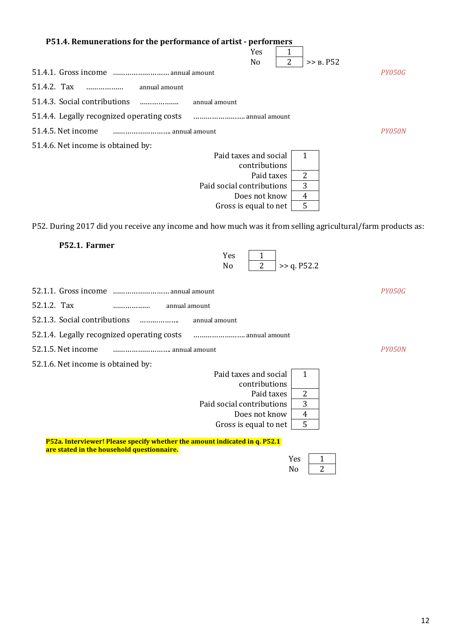| P51.4. Remunerations for the performance of artist - performers                                             |               |
|-------------------------------------------------------------------------------------------------------------|---------------|
| Yes<br>$\overline{2}$<br>>> B. P52<br>No                                                                    |               |
|                                                                                                             | <i>PY050G</i> |
| 51.4.2. Tax<br>annual amount<br>.                                                                           |               |
| 51.4.3. Social contributions<br>annual amount<br>.                                                          |               |
| 51.4.4. Legally recognized operating costs<br>annual amount                                                 |               |
| 51.4.5. Net income                                                                                          | PY050N        |
| 51.4.6. Net income is obtained by:                                                                          |               |
| Paid taxes and social<br>1<br>contributions                                                                 |               |
| 2<br>Paid taxes                                                                                             |               |
| 3<br>Paid social contributions                                                                              |               |
| Does not know<br>$\overline{4}$                                                                             |               |
| 5<br>Gross is equal to net                                                                                  |               |
| P52. During 2017 did you receive any income and how much was it from selling agricultural/farm products as: |               |
| P52.1. Farmer                                                                                               |               |
| Yes<br>1                                                                                                    |               |
| 2<br>>> q. P52.2<br>No                                                                                      |               |

|                                                                                                                          | PY050G                         |
|--------------------------------------------------------------------------------------------------------------------------|--------------------------------|
| 52.1.2. Tax<br>annual amount<br>.                                                                                        |                                |
| 52.1.3. Social contributions<br>annual amount<br>.                                                                       |                                |
| 52.1.4. Legally recognized operating costs                                                                               |                                |
| 52.1.5. Net income                                                                                                       | <i>PY0.50N</i>                 |
| 52.1.6. Net income is obtained by:                                                                                       |                                |
|                                                                                                                          | Paid taxes and social<br>1     |
|                                                                                                                          | contributions                  |
|                                                                                                                          | 2<br>Paid taxes                |
|                                                                                                                          | 3<br>Paid social contributions |
|                                                                                                                          | Does not know<br>4             |
|                                                                                                                          | 5<br>Gross is equal to net     |
|                                                                                                                          |                                |
| P52a. Interviewer! Please specify whether the amount indicated in q. P52.1<br>are stated in the household questionnaire. |                                |
|                                                                                                                          |                                |

Yes  $\boxed{\frac{1}{N_0}}$  $N<sub>0</sub>$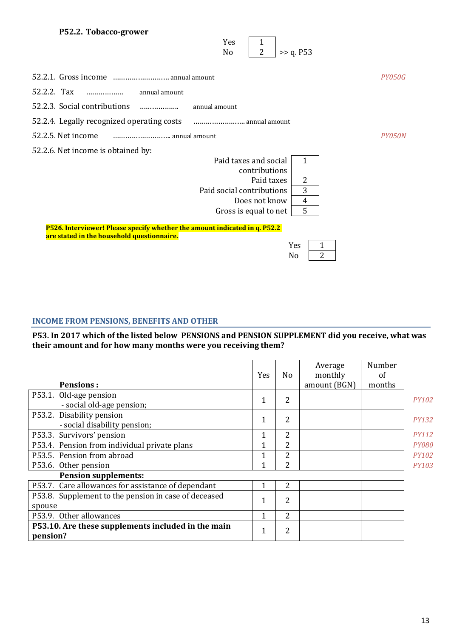#### **P52.2. Tobacco-grower**

|                                                                                                                          | Yes<br>1<br>$\overline{2}$<br>>> q. P53<br>No |
|--------------------------------------------------------------------------------------------------------------------------|-----------------------------------------------|
|                                                                                                                          | PY050G                                        |
| 52.2.2. Tax<br>annual amount                                                                                             |                                               |
| 52.2.3. Social contributions<br>.                                                                                        | annual amount                                 |
| 52.2.4. Legally recognized operating costs                                                                               | annual amount                                 |
| 52.2.5. Net income                                                                                                       | PY050N                                        |
| 52.2.6. Net income is obtained by:                                                                                       |                                               |
|                                                                                                                          | Paid taxes and social<br>$\mathbf{1}$         |
|                                                                                                                          | contributions                                 |
|                                                                                                                          | $\overline{2}$<br>Paid taxes                  |
|                                                                                                                          | 3<br>Paid social contributions                |
|                                                                                                                          | $\overline{4}$<br>Does not know               |
|                                                                                                                          | 5<br>Gross is equal to net                    |
| P526. Interviewer! Please specify whether the amount indicated in q. P52.2<br>are stated in the household questionnaire. |                                               |
|                                                                                                                          | Yes<br>1                                      |
|                                                                                                                          | 2<br>No                                       |

## **INCOME FROM PENSIONS, BENEFITS AND OTHER**

#### **Р53. In 2017 which of the listed below PENSIONS and PENSION SUPPLEMENT did you receive, what was their amount and for how many months were you receiving them?**

| <b>Pensions:</b>                                               | Yes          | No | Average<br>monthly<br>amount (BGN) | Number<br>of<br>months |              |
|----------------------------------------------------------------|--------------|----|------------------------------------|------------------------|--------------|
| P53.1. Old-age pension<br>- social old-age pension;            | 1            | 2  |                                    |                        | <b>PY102</b> |
| P53.2. Disability pension<br>- social disability pension;      | $\mathbf{1}$ | 2  |                                    |                        | <b>PY132</b> |
| P53.3. Survivors' pension                                      | 1            | 2  |                                    |                        | <b>PY112</b> |
| P53.4. Pension from individual private plans                   | 1            | 2  |                                    |                        | <b>PY080</b> |
| P53.5. Pension from abroad                                     | 1            | 2  |                                    |                        | <b>PY102</b> |
| P53.6. Other pension                                           | 1            | 2  |                                    |                        | <b>PY103</b> |
| <b>Pension supplements:</b>                                    |              |    |                                    |                        |              |
| P53.7. Care allowances for assistance of dependant             | 1            | 2  |                                    |                        |              |
| P53.8. Supplement to the pension in case of deceased<br>spouse | 1            | 2  |                                    |                        |              |
| P53.9. Other allowances                                        | 1            | 2  |                                    |                        |              |
| P53.10. Are these supplements included in the main<br>pension? | 1            | 2  |                                    |                        |              |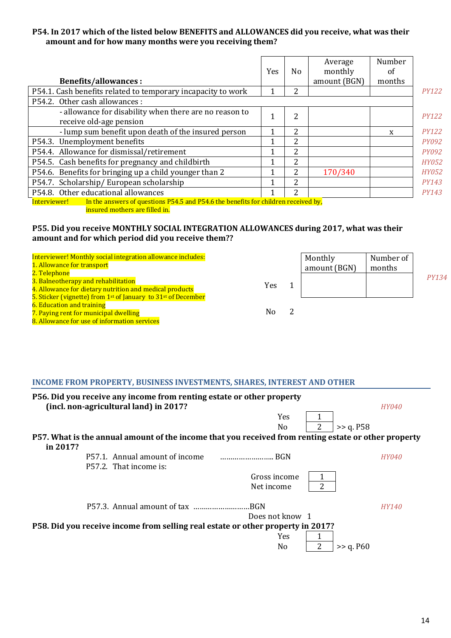#### **P54. In 2017 which of the listed below BENEFITS and ALLOWANCES did you receive, what was their amount and for how many months were you receiving them?**

|                                                                                                    | Yes | No                       | Average<br>monthly | Number<br>of |              |
|----------------------------------------------------------------------------------------------------|-----|--------------------------|--------------------|--------------|--------------|
| <b>Benefits/allowances:</b>                                                                        |     |                          | amount (BGN)       | months       |              |
| P54.1. Cash benefits related to temporary incapacity to work                                       |     | 2                        |                    |              | <b>PY122</b> |
| P54.2. Other cash allowances :                                                                     |     |                          |                    |              |              |
| - allowance for disability when there are no reason to<br>receive old-age pension                  |     | 2                        |                    |              | <b>PY122</b> |
| - lump sum benefit upon death of the insured person                                                |     | 2                        |                    | X            | <b>PY122</b> |
| P54.3. Unemployment benefits                                                                       | 1   | 2                        |                    |              | <b>PY092</b> |
| P54.4. Allowance for dismissal/retirement                                                          |     | 2                        |                    |              | <b>PY092</b> |
| P54.5. Cash benefits for pregnancy and childbirth                                                  |     | 2                        |                    |              | <b>HY052</b> |
| P54.6. Benefits for bringing up a child younger than 2                                             |     | 2                        | 170/340            |              | <b>HY052</b> |
| P54.7. Scholarship/European scholarship                                                            |     | 2                        |                    |              | <b>PY143</b> |
| P54.8. Other educational allowances                                                                |     | $\overline{\mathcal{L}}$ |                    |              | <b>PY143</b> |
| In the answers of questions P54.5 and P54.6 the benefits for children received by,<br>Interviewer! |     |                          |                    |              |              |

insured mothers are filled in.

#### **P55. Did you receive MONTHLY SOCIAL INTEGRATION ALLOWANCES during 2017, what was their amount and for which period did you receive them??**

Interviewer! Monthly social integration allowance includes: 1. Allowance for transport 2. Telephone 3. Balneotherapy and rehabilitation 4. Allowance for dietary nutrition and medical products 5. Sticker (vignette) from 1<sup>st</sup> of January to  $31st$  of December **6. Education and training** 7. Paying rent for municipal dwelling Monthly amount (BGN) Number of months Yes 1  *PY134* No 2

8. Allowance for use of information services

## **INCOME FROM PROPERTY, BUSINESS INVESTMENTS, SHARES, INTEREST AND OTHER**

| P56. Did you receive any income from renting estate or other property<br>(incl. non-agricultural land) in 2017? |                 |                |           | <i>HY040</i> |
|-----------------------------------------------------------------------------------------------------------------|-----------------|----------------|-----------|--------------|
|                                                                                                                 | <b>Yes</b>      |                |           |              |
|                                                                                                                 | N <sub>0</sub>  | $\overline{2}$ | >> q. P58 |              |
| P57. What is the annual amount of the income that you received from renting estate or other property            |                 |                |           |              |
| in 2017?                                                                                                        |                 |                |           |              |
| P57.1. Annual amount of income                                                                                  |                 |                |           | <i>HY040</i> |
| P57.2. That income is:                                                                                          |                 |                |           |              |
|                                                                                                                 | Gross income    |                |           |              |
|                                                                                                                 | Net income      | 2              |           |              |
|                                                                                                                 |                 |                |           | <b>HY140</b> |
|                                                                                                                 | Does not know 1 |                |           |              |
| P58. Did you receive income from selling real estate or other property in 2017?                                 |                 |                |           |              |
|                                                                                                                 | Yes             |                |           |              |
|                                                                                                                 | No              |                | >> q. P60 |              |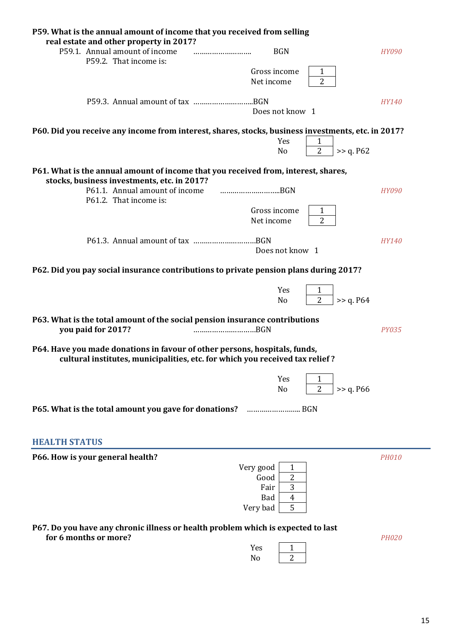| P59. What is the annual amount of income that you received from selling                                                                                    |                                                           |              |
|------------------------------------------------------------------------------------------------------------------------------------------------------------|-----------------------------------------------------------|--------------|
| real estate and other property in 2017?<br>P59.1. Annual amount of income                                                                                  | <b>BGN</b>                                                |              |
| P59.2. That income is:                                                                                                                                     |                                                           | <i>HY090</i> |
|                                                                                                                                                            | Gross income<br>1                                         |              |
|                                                                                                                                                            | $\overline{2}$<br>Net income                              |              |
|                                                                                                                                                            |                                                           | <b>HY140</b> |
|                                                                                                                                                            | Does not know 1                                           |              |
| P60. Did you receive any income from interest, shares, stocks, business investments, etc. in 2017?                                                         |                                                           |              |
|                                                                                                                                                            | Yes<br>1<br>$\overline{2}$<br>N <sub>o</sub><br>>> q. P62 |              |
| P61. What is the annual amount of income that you received from, interest, shares,                                                                         |                                                           |              |
| stocks, business investments, etc. in 2017?<br>P61.1. Annual amount of income                                                                              | BGN                                                       | <b>HY090</b> |
| P61.2. That income is:                                                                                                                                     |                                                           |              |
|                                                                                                                                                            | Gross income<br>1                                         |              |
|                                                                                                                                                            | $\overline{2}$<br>Net income                              |              |
|                                                                                                                                                            |                                                           | <b>HY140</b> |
|                                                                                                                                                            | Does not know 1                                           |              |
| P62. Did you pay social insurance contributions to private pension plans during 2017?                                                                      |                                                           |              |
|                                                                                                                                                            | Yes<br>1                                                  |              |
|                                                                                                                                                            | $\overline{2}$<br>>> q. P64<br>N <sub>o</sub>             |              |
| P63. What is the total amount of the social pension insurance contributions<br>you paid for 2017?<br>BGN                                                   |                                                           | <b>PY035</b> |
| P64. Have you made donations in favour of other persons, hospitals, funds,<br>cultural institutes, municipalities, etc. for which you received tax relief? |                                                           |              |
|                                                                                                                                                            | Yes<br>1<br>$\overline{2}$<br>>> q. P66<br>N <sub>o</sub> |              |
|                                                                                                                                                            |                                                           |              |
|                                                                                                                                                            |                                                           |              |
| <b>HEALTH STATUS</b>                                                                                                                                       |                                                           |              |
| P66. How is your general health?                                                                                                                           |                                                           | <b>PH010</b> |
|                                                                                                                                                            | Very good<br>1                                            |              |
|                                                                                                                                                            | 2<br>Good                                                 |              |
|                                                                                                                                                            | 3<br>Fair<br><b>Bad</b><br>4                              |              |
|                                                                                                                                                            | 5<br>Very bad                                             |              |
|                                                                                                                                                            |                                                           |              |
| P67. Do you have any chronic illness or health problem which is expected to last<br>for 6 months or more?                                                  |                                                           | <b>PH020</b> |
|                                                                                                                                                            | Yes<br>1                                                  |              |
|                                                                                                                                                            | 2<br>No                                                   |              |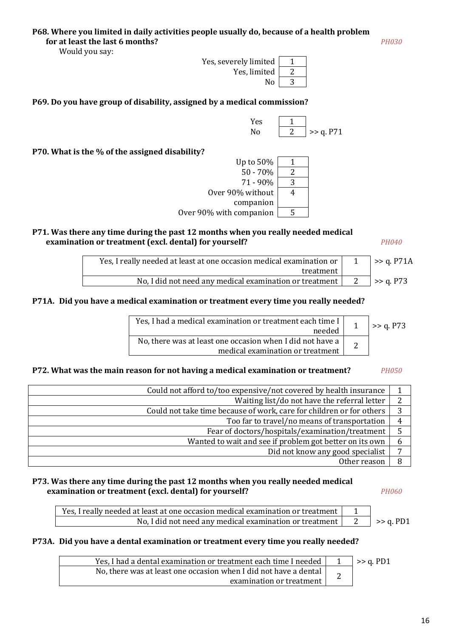Would you say:



**P69. Do you have group of disability, assigned by a medical commission?**



**P70. What is the % of the assigned disability?**



#### **P71. Was there any time during the past 12 months when you really needed medical examination or treatment (excl. dental) for yourself?** *PH040*

| Yes, I really needed at least at one occasion medical examination or | $\Rightarrow$ q. P71A |
|----------------------------------------------------------------------|-----------------------|
| treatment                                                            |                       |
| No, I did not need any medical examination or treatment              | $\ge$ 2. P73          |

#### **Р71А. Did you have a medical examination or treatment every time you really needed?**

| Yes. I had a medical examination or treatment each time I  <br>needed                                 | $\Rightarrow$ q. P73 |
|-------------------------------------------------------------------------------------------------------|----------------------|
| No, there was at least one occasion when I did not have a $\vert$<br>medical examination or treatment |                      |

#### **P72. What was the main reason for not having a medical examination or treatment?** *PH050*

| Could not afford to/too expensive/not covered by health insurance    |   |
|----------------------------------------------------------------------|---|
| Waiting list/do not have the referral letter                         | າ |
| Could not take time because of work, care for children or for others | 3 |
| Too far to travel/no means of transportation                         | 4 |
| Fear of doctors/hospitals/examination/treatment                      |   |
| Wanted to wait and see if problem got better on its own              | 6 |
| Did not know any good specialist                                     | ⇁ |
| Other reason                                                         |   |

#### **P73. Was there any time during the past 12 months when you really needed medical examination or treatment (excl. dental) for yourself?** *PH060*

| Yes, I really needed at least at one occasion medical examination or treatment |                      |
|--------------------------------------------------------------------------------|----------------------|
| No, I did not need any medical examination or treatment                        | $\Rightarrow$ q. PD1 |

#### **Р73А. Did you have a dental examination or treatment every time you really needed?**

| Yes, I had a dental examination or treatment each time I needed  | $\Rightarrow$ q. PD1 |
|------------------------------------------------------------------|----------------------|
| No, there was at least one occasion when I did not have a dental |                      |
| examination or treatment                                         |                      |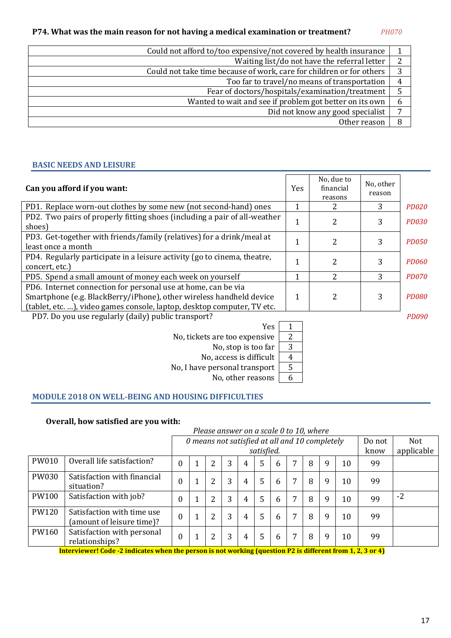#### **P74. What was the main reason for not having a medical examination or treatment?** *PH070*

| Could not afford to/too expensive/not covered by health insurance    |   |
|----------------------------------------------------------------------|---|
| Waiting list/do not have the referral letter                         | 2 |
| Could not take time because of work, care for children or for others | 3 |
| Too far to travel/no means of transportation                         | 4 |
| Fear of doctors/hospitals/examination/treatment                      | 5 |
| Wanted to wait and see if problem got better on its own              | b |
| Did not know any good specialist                                     | − |
| Other reason                                                         | 8 |
|                                                                      |   |

#### **BASIC NEEDS AND LEISURE**

| Can you afford if you want:                                                                                                                                                                                     | Yes | No, due to<br>financial<br>reasons | No, other<br>reason |              |
|-----------------------------------------------------------------------------------------------------------------------------------------------------------------------------------------------------------------|-----|------------------------------------|---------------------|--------------|
| PD1. Replace worn-out clothes by some new (not second-hand) ones                                                                                                                                                | 1   | 2                                  | 3                   | <b>PD020</b> |
| PD2. Two pairs of properly fitting shoes (including a pair of all-weather<br>shoes)                                                                                                                             | 1   | 2                                  | 3                   | <b>PD030</b> |
| PD3. Get-together with friends/family (relatives) for a drink/meal at<br>least once a month                                                                                                                     |     | 2                                  | 3                   | <b>PD050</b> |
| PD4. Regularly participate in a leisure activity (go to cinema, theatre,<br>concert, etc.)                                                                                                                      |     | 2                                  | 3                   | <b>PD060</b> |
| PD5. Spend a small amount of money each week on yourself                                                                                                                                                        | 1   | 2                                  | 3                   | <b>PD070</b> |
| PD6. Internet connection for personal use at home, can be via<br>Smartphone (e.g. BlackBerry/iPhone), other wireless handheld device<br>(tablet, etc. ), video games console, laptop, desktop computer, TV etc. | 1   | 2                                  | 3                   | PD080        |
| PD7. Do you use regularly (daily) public transport?                                                                                                                                                             |     |                                    |                     | <i>PD090</i> |

Yes 1 No, tickets are too expensive  $\begin{array}{|c|c|} \hline 2 \end{array}$ 

No, stop is too far  $\boxed{3}$ 

No, access is difficult | 4

No, I have personal transport  $\sqrt{5}$ 

No, other reasons  $\boxed{6}$ 

#### **MODULE 2018 ON WELL-BEING AND HOUSING DIFFICULTIES**

#### **Overall, how satisfied are you with:**

|       |                                                                                                                  | Please answer on a scale 0 to 10, where |  |   |   |   |            |                                                |   |   |   |    |        |            |
|-------|------------------------------------------------------------------------------------------------------------------|-----------------------------------------|--|---|---|---|------------|------------------------------------------------|---|---|---|----|--------|------------|
|       |                                                                                                                  |                                         |  |   |   |   |            | 0 means not satisfied at all and 10 completely |   |   |   |    | Do not | Not        |
|       |                                                                                                                  |                                         |  |   |   |   | satisfied. |                                                |   |   |   |    | know   | applicable |
| PW010 | Overall life satisfaction?                                                                                       | $\overline{0}$                          |  |   | 3 | 4 | 5          | 6                                              | 7 | 8 | 9 | 10 | 99     |            |
| PW030 | Satisfaction with financial<br>situation?                                                                        | $\theta$                                |  | 2 | 3 | 4 | 5          | 6                                              | 7 | 8 | 9 | 10 | 99     |            |
| PW100 | Satisfaction with job?                                                                                           | $\overline{0}$                          |  | 2 | 3 | 4 | 5          | 6                                              | 7 | 8 | 9 | 10 | 99     | $-2$       |
| PW120 | Satisfaction with time use<br>(amount of leisure time)?                                                          | $\boldsymbol{0}$                        |  | 2 | 3 | 4 | 5          | 6                                              | 7 | 8 | 9 | 10 | 99     |            |
| PW160 | Satisfaction with personal<br>relationships?                                                                     | $\theta$                                |  | 2 | 3 | 4 | 5          | 6                                              | 7 | 8 | 9 | 10 | 99     |            |
|       | Interviewer $Coda - 2$ indicates when the negative is not weaking (question $D2$ is different from 1, 2, 2 or 1) |                                         |  |   |   |   |            |                                                |   |   |   |    |        |            |

**Interviewer! Code -2 indicates when the person is not working (question P2 is different from 1, 2, 3 or 4)**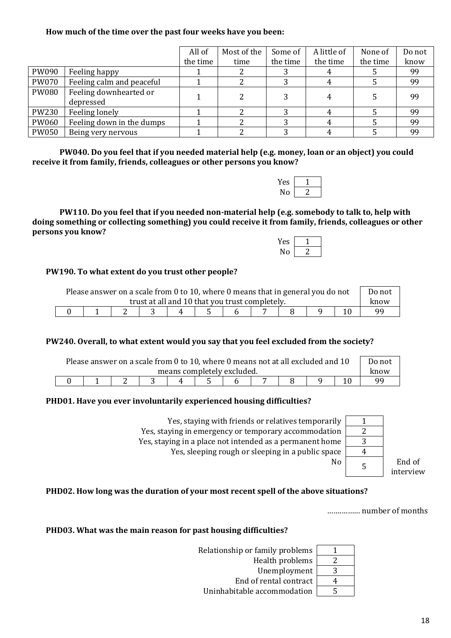#### **How much of the time over the past four weeks have you been:**

|              |                           | All of   | Most of the | Some of  | A little of | None of  | Do not |
|--------------|---------------------------|----------|-------------|----------|-------------|----------|--------|
|              |                           | the time | time        | the time | the time    | the time | know   |
| PW090        | Feeling happy             |          |             |          |             |          | 99     |
| <b>PW070</b> | Feeling calm and peaceful |          |             | ŋ        |             |          | 99     |
| PW080        | Feeling downhearted or    |          |             |          |             |          |        |
|              | depressed                 |          |             |          |             |          | 99     |
| PW230        | Feeling lonely            |          |             |          |             |          | 99     |
| <b>PW060</b> | Feeling down in the dumps |          |             |          |             |          | 99     |
| <b>PW050</b> | Being very nervous        |          |             | ∍        |             |          | 99     |

**PW040. Do you feel that if you needed material help (e.g. money, loan or an object) you could receive it from family, friends, colleagues or other persons you know?**

| $\sim$<br>л.<br>Ë<br>T |  |
|------------------------|--|
|                        |  |

**PW110. Do you feel that if you needed non-material help (e.g. somebody to talk to, help with doing something or collecting something) you could receive it from family, friends, colleagues or other persons you know?**

| ΆS<br>1 |  |
|---------|--|
|         |  |

#### **PW190. To what extent do you trust other people?**

| Please answer on a scale from 0 to 10, where 0 means that in general you do not |  |  |  |  |  |  |      | Do not |  |  |  |
|---------------------------------------------------------------------------------|--|--|--|--|--|--|------|--------|--|--|--|
| trust at all and 10 that you trust completely.                                  |  |  |  |  |  |  | know |        |  |  |  |
|                                                                                 |  |  |  |  |  |  |      |        |  |  |  |

#### **PW240. Overall, to what extent would you say that you feel excluded from the society?**

| Please answer on a scale from 0 to 10, where 0 means not at all excluded and 10 |  |  |  |  |  |  |  | Do not |  |  |    |
|---------------------------------------------------------------------------------|--|--|--|--|--|--|--|--------|--|--|----|
| means completely excluded.                                                      |  |  |  |  |  |  |  | know   |  |  |    |
|                                                                                 |  |  |  |  |  |  |  |        |  |  | qq |

#### **PHD01. Have you ever involuntarily experienced housing difficulties?**

| Yes, staying with friends or relatives temporarily       |   |                     |
|----------------------------------------------------------|---|---------------------|
| Yes, staying in emergency or temporary accommodation     |   |                     |
| Yes, staying in a place not intended as a permanent home |   |                     |
| Yes, sleeping rough or sleeping in a public space        |   |                     |
| No                                                       | 5 | End of<br>interview |
|                                                          |   |                     |

#### **PHD02. How long was the duration of your most recent spell of the above situations?**

…….……… number of months

#### **PHD03. What was the main reason for past housing difficulties?**

Relationship or family problems | 1 Health problems  $\boxed{2}$ Unemployment 3 End of rental contract  $\vert$  4 Uninhabitable accommodation | 5